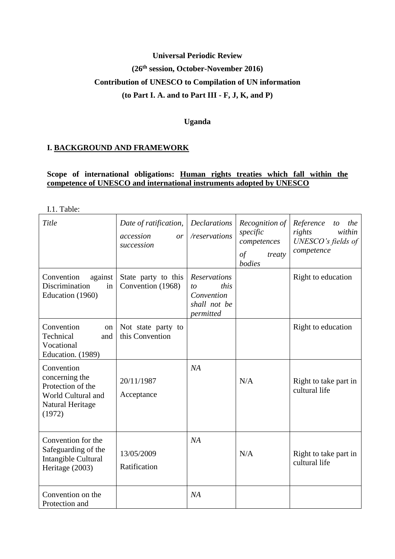# **Universal Periodic Review (26th session, October-November 2016) Contribution of UNESCO to Compilation of UN information (to Part I. A. and to Part III - F, J, K, and P)**

# **Uganda**

# **I. BACKGROUND AND FRAMEWORK**

# **Scope of international obligations: Human rights treaties which fall within the competence of UNESCO and international instruments adopted by UNESCO**

I.1. Table:

| Title                                                                                                 | Date of ratification,<br>accession<br>or<br>succession | <b>Declarations</b><br>/reservations                                         | Recognition of<br>specific<br>competences<br>$\int$<br>treaty<br>bodies | Reference<br>the<br>to<br>within<br>rights<br>UNESCO's fields of<br>competence |
|-------------------------------------------------------------------------------------------------------|--------------------------------------------------------|------------------------------------------------------------------------------|-------------------------------------------------------------------------|--------------------------------------------------------------------------------|
| against<br>Convention<br>Discrimination<br>in<br>Education (1960)                                     | State party to this<br>Convention (1968)               | <b>Reservations</b><br>this<br>to<br>Convention<br>shall not be<br>permitted |                                                                         | Right to education                                                             |
| Convention<br>on<br>Technical<br>and<br>Vocational<br>Education. (1989)                               | Not state party to<br>this Convention                  |                                                                              |                                                                         | Right to education                                                             |
| Convention<br>concerning the<br>Protection of the<br>World Cultural and<br>Natural Heritage<br>(1972) | 20/11/1987<br>Acceptance                               | NA                                                                           | N/A                                                                     | Right to take part in<br>cultural life                                         |
| Convention for the<br>Safeguarding of the<br>Intangible Cultural<br>Heritage (2003)                   | 13/05/2009<br>Ratification                             | NA                                                                           | N/A                                                                     | Right to take part in<br>cultural life                                         |
| Convention on the<br>Protection and                                                                   |                                                        | NA                                                                           |                                                                         |                                                                                |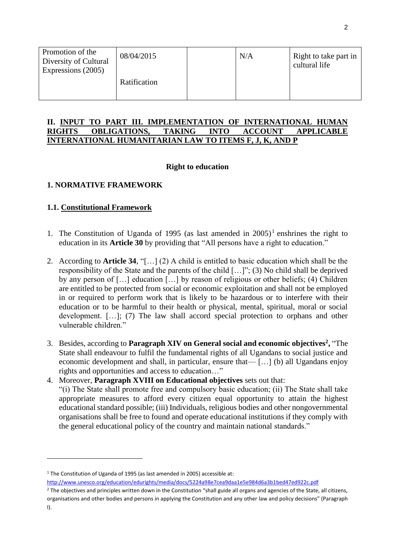| Promotion of the<br>Diversity of Cultural<br>Expressions (2005) | 08/04/2015   | N/A | Right to take part in<br>cultural life |
|-----------------------------------------------------------------|--------------|-----|----------------------------------------|
|                                                                 | Ratification |     |                                        |

### **II. INPUT TO PART III. IMPLEMENTATION OF INTERNATIONAL HUMAN RIGHTS OBLIGATIONS, TAKING INTO ACCOUNT APPLICABLE INTERNATIONAL HUMANITARIAN LAW TO ITEMS F, J, K, AND P**

### **Right to education**

# **1. NORMATIVE FRAMEWORK**

### **1.1. Constitutional Framework**

- 1. The Constitution of Uganda of 1995 (as last amended in  $2005$ )<sup>1</sup> enshrines the right to education in its **Article 30** by providing that "All persons have a right to education."
- 2. According to **Article 34***,* "[…] (2) A child is entitled to basic education which shall be the responsibility of the State and the parents of the child […]"; (3) No child shall be deprived by any person of […] education […] by reason of religious or other beliefs; (4) Children are entitled to be protected from social or economic exploitation and shall not be employed in or required to perform work that is likely to be hazardous or to interfere with their education or to be harmful to their health or physical, mental, spiritual, moral or social development. […]; (7) The law shall accord special protection to orphans and other vulnerable children."
- 3. Besides, according to **Paragraph XIV on General social and economic objectives<sup>2</sup> ,** "The State shall endeavour to fulfil the fundamental rights of all Ugandans to social justice and economic development and shall, in particular, ensure that— […] (b) all Ugandans enjoy rights and opportunities and access to education…"
- 4. Moreover, **Paragraph XVIII on Educational objectives** sets out that: "(i) The State shall promote free and compulsory basic education; (ii) The State shall take appropriate measures to afford every citizen equal opportunity to attain the highest educational standard possible; (iii) Individuals, religious bodies and other nongovernmental organisations shall be free to found and operate educational institutions if they comply with the general educational policy of the country and maintain national standards."

 $\overline{a}$ 

<sup>2</sup> The objectives and principles written down in the Constitution "shall guide all organs and agencies of the State, all citizens, organisations and other bodies and persons in applying the Constitution and any other law and policy decisions" (Paragraph I).

<sup>&</sup>lt;sup>1</sup> The Constitution of Uganda of 1995 (as last amended in 2005) accessible at:

<http://www.unesco.org/education/edurights/media/docs/5224a98e7cea9daa1e5e984d6a3b1bed47ed922c.pdf>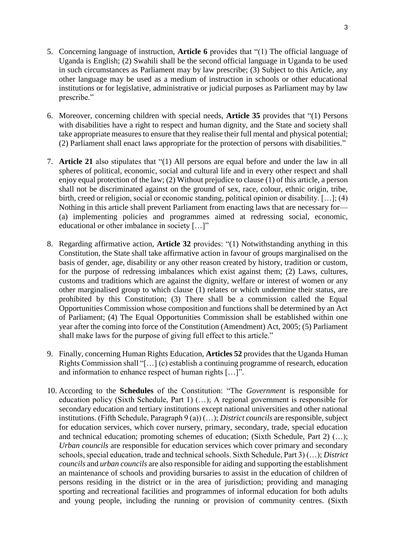- 5. Concerning language of instruction, **Article 6** provides that "(1) The official language of Uganda is English; (2) Swahili shall be the second official language in Uganda to be used in such circumstances as Parliament may by law prescribe; (3) Subject to this Article, any other language may be used as a medium of instruction in schools or other educational institutions or for legislative, administrative or judicial purposes as Parliament may by law prescribe."
- 6. Moreover, concerning children with special needs, **Article 35** provides that "(1) Persons with disabilities have a right to respect and human dignity, and the State and society shall take appropriate measures to ensure that they realise their full mental and physical potential; (2) Parliament shall enact laws appropriate for the protection of persons with disabilities."
- 7. **Article 21** also stipulates that "(1) All persons are equal before and under the law in all spheres of political, economic, social and cultural life and in every other respect and shall enjoy equal protection of the law; (2) Without prejudice to clause (1) of this article, a person shall not be discriminated against on the ground of sex, race, colour, ethnic origin, tribe, birth, creed or religion, social or economic standing, political opinion or disability. […]; (4) Nothing in this article shall prevent Parliament from enacting laws that are necessary for— (a) implementing policies and programmes aimed at redressing social, economic, educational or other imbalance in society […]"
- 8. Regarding affirmative action, **Article 32** provides: "(1) Notwithstanding anything in this Constitution, the State shall take affirmative action in favour of groups marginalised on the basis of gender, age, disability or any other reason created by history, tradition or custom, for the purpose of redressing imbalances which exist against them; (2) Laws, cultures, customs and traditions which are against the dignity, welfare or interest of women or any other marginalised group to which clause (1) relates or which undermine their status, are prohibited by this Constitution; (3) There shall be a commission called the Equal Opportunities Commission whose composition and functions shall be determined by an Act of Parliament; (4) The Equal Opportunities Commission shall be established within one year after the coming into force of the Constitution (Amendment) Act, 2005; (5) Parliament shall make laws for the purpose of giving full effect to this article."
- 9. Finally, concerning Human Rights Education, **Articles 52** provides that the Uganda Human Rights Commission shall "[…] (c) establish a continuing programme of research, education and information to enhance respect of human rights […]".
- 10. According to the **Schedules** of the Constitution: "The *Government* is responsible for education policy (Sixth Schedule, Part 1) (…); A regional government is responsible for secondary education and tertiary institutions except national universities and other national institutions. (Fifth Schedule, Paragraph 9 (a)) (…); *District councils* are responsible, subject for education services, which cover nursery, primary, secondary, trade, special education and technical education; promoting schemes of education; (Sixth Schedule, Part 2) (…); *Urban councils* are responsible for education services which cover primary and secondary schools, special education, trade and technical schools. Sixth Schedule, Part 3) (…); *District councils* and *urban councils* are also responsible for aiding and supporting the establishment an maintenance of schools and providing bursaries to assist in the education of children of persons residing in the district or in the area of jurisdiction; providing and managing sporting and recreational facilities and programmes of informal education for both adults and young people, including the running or provision of community centres. (Sixth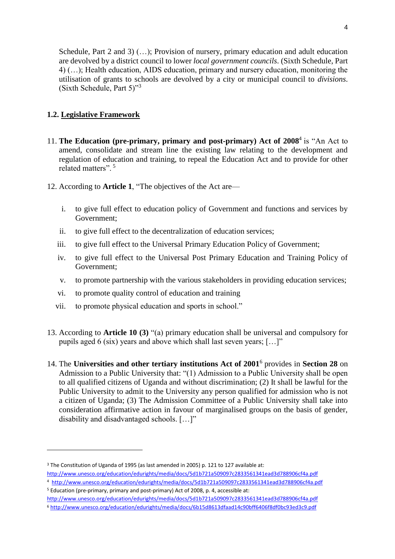Schedule, Part 2 and 3) (…); Provision of nursery, primary education and adult education are devolved by a district council to lower *local government councils*. (Sixth Schedule, Part 4) (…); Health education, AIDS education, primary and nursery education, monitoring the utilisation of grants to schools are devolved by a city or municipal council to *divisions*. (Sixth Schedule, Part 5)"<sup>3</sup>

# **1.2. Legislative Framework**

- 11. **The Education (pre-primary, primary and post-primary) Act of 2008**<sup>4</sup> is "An Act to amend, consolidate and stream line the existing law relating to the development and regulation of education and training, to repeal the Education Act and to provide for other related matters".<sup>5</sup>
- 12. According to **Article 1**, "The objectives of the Act are
	- i. to give full effect to education policy of Government and functions and services by Government;
	- ii. to give full effect to the decentralization of education services;
	- iii. to give full effect to the Universal Primary Education Policy of Government;
	- iv. to give full effect to the Universal Post Primary Education and Training Policy of Government;
	- v. to promote partnership with the various stakeholders in providing education services;
	- vi. to promote quality control of education and training
	- vii. to promote physical education and sports in school."
- 13. According to **Article 10 (3)** "(a) primary education shall be universal and compulsory for pupils aged 6 (six) years and above which shall last seven years; […]"
- 14. The **Universities and other tertiary institutions Act of 2001**<sup>6</sup> provides in **Section 28** on Admission to a Public University that: "(1) Admission to a Public University shall be open to all qualified citizens of Uganda and without discrimination; (2) It shall be lawful for the Public University to admit to the University any person qualified for admission who is not a citizen of Uganda; (3) The Admission Committee of a Public University shall take into consideration affirmative action in favour of marginalised groups on the basis of gender, disability and disadvantaged schools. […]"

 $\overline{a}$ 

4 <http://www.unesco.org/education/edurights/media/docs/5d1b721a509097c2833561341ead3d788906cf4a.pdf>

<http://www.unesco.org/education/edurights/media/docs/5d1b721a509097c2833561341ead3d788906cf4a.pdf>

<sup>3</sup> The Constitution of Uganda of 1995 (as last amended in 2005) p. 121 to 127 available at:

<http://www.unesco.org/education/edurights/media/docs/5d1b721a509097c2833561341ead3d788906cf4a.pdf>

<sup>5</sup> Education (pre-primary, primary and post-primary) Act of 2008, p. 4, accessible at:

<sup>6</sup> <http://www.unesco.org/education/edurights/media/docs/6b15d8613dfaad14c90bff6406f8df0bc93ed3c9.pdf>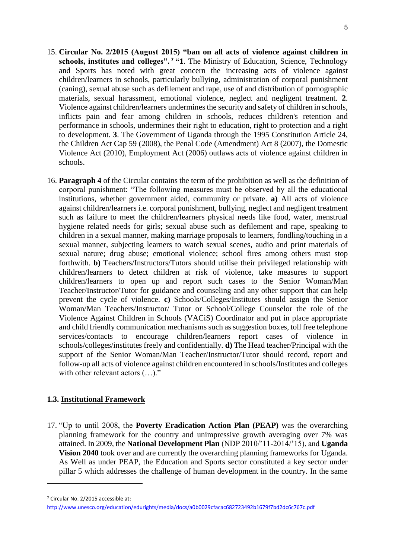- 15. **Circular No. 2/2015 (August 2015) "ban on all acts of violence against children in schools, institutes and colleges". <sup>7</sup> "1**. The Ministry of Education, Science, Technology and Sports has noted with great concern the increasing acts of violence against children/learners in schools, particularly bullying, administration of corporal punishment (caning), sexual abuse such as defilement and rape, use of and distribution of pornographic materials, sexual harassment, emotional violence, neglect and negligent treatment. **2**. Violence against children/learners undermines the security and safety of children in schools, inflicts pain and fear among children in schools, reduces children's retention and performance in schools, undermines their right to education, right to protection and a right to development. **3**. The Government of Uganda through the 1995 Constitution Article 24, the Children Act Cap 59 (2008), the Penal Code (Amendment) Act 8 (2007), the Domestic Violence Act (2010), Employment Act (2006) outlaws acts of violence against children in schools.
- 16. **Paragraph 4** of the Circular contains the term of the prohibition as well as the definition of corporal punishment: "The following measures must be observed by all the educational institutions, whether government aided, community or private. **a)** All acts of violence against children/learners i.e. corporal punishment, bullying, neglect and negligent treatment such as failure to meet the children/learners physical needs like food, water, menstrual hygiene related needs for girls; sexual abuse such as defilement and rape, speaking to children in a sexual manner, making marriage proposals to learners, fondling/touching in a sexual manner, subjecting learners to watch sexual scenes, audio and print materials of sexual nature; drug abuse; emotional violence; school fires among others must stop forthwith. **b)** Teachers/Instructors/Tutors should utilise their privileged relationship with children/learners to detect children at risk of violence, take measures to support children/learners to open up and report such cases to the Senior Woman/Man Teacher/Instructor/Tutor for guidance and counseling and any other support that can help prevent the cycle of violence. **c)** Schools/Colleges/Institutes should assign the Senior Woman/Man Teachers/Instructor/ Tutor or School/College Counselor the role of the Violence Against Children in Schools (VACiS) Coordinator and put in place appropriate and child friendly communication mechanisms such as suggestion boxes, toll free telephone services/contacts to encourage children/learners report cases of violence in schools/colleges/institutes freely and confidentially. **d)** The Head teacher/Principal with the support of the Senior Woman/Man Teacher/Instructor/Tutor should record, report and follow-up all acts of violence against children encountered in schools/Institutes and colleges with other relevant actors  $(...)$ ."

### **1.3. Institutional Framework**

17. "Up to until 2008, the **Poverty Eradication Action Plan (PEAP)** was the overarching planning framework for the country and unimpressive growth averaging over 7% was attained. In 2009, the **National Development Plan** (NDP 2010/'11-2014/'15), and **Uganda Vision 2040** took over and are currently the overarching planning frameworks for Uganda. As Well as under PEAP, the Education and Sports sector constituted a key sector under pillar 5 which addresses the challenge of human development in the country. In the same

<sup>7</sup> Circular No. 2/2015 accessible at:

<http://www.unesco.org/education/edurights/media/docs/a0b0029cfacac682723492b1679f7bd2dc6c767c.pdf>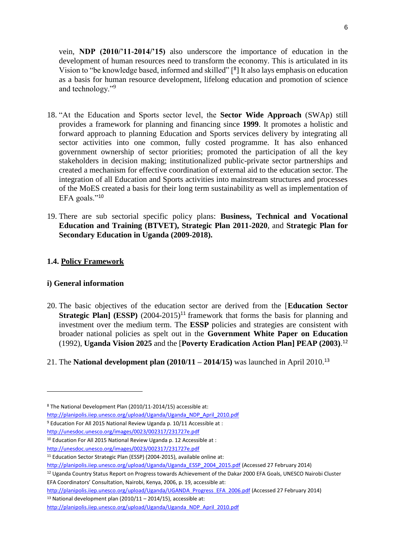vein, **NDP (2010/'11-2014/'15)** also underscore the importance of education in the development of human resources need to transform the economy. This is articulated in its Vision to "be knowledge based, informed and skilled" [<sup>8</sup> ] It also lays emphasis on education as a basis for human resource development, lifelong education and promotion of science and technology."<sup>9</sup>

- 18. "At the Education and Sports sector level, the **Sector Wide Approach** (SWAp) still provides a framework for planning and financing since **1999**. It promotes a holistic and forward approach to planning Education and Sports services delivery by integrating all sector activities into one common, fully costed programme. It has also enhanced government ownership of sector priorities; promoted the participation of all the key stakeholders in decision making; institutionalized public-private sector partnerships and created a mechanism for effective coordination of external aid to the education sector. The integration of all Education and Sports activities into mainstream structures and processes of the MoES created a basis for their long term sustainability as well as implementation of EFA goals."10
- 19. There are sub sectorial specific policy plans: **Business, Technical and Vocational Education and Training (BTVET), Strategic Plan 2011-2020**, and **Strategic Plan for Secondary Education in Uganda (2009-2018).**

# **1.4. Policy Framework**

### **i) General information**

 $\overline{a}$ 

- 20. The basic objectives of the education sector are derived from the [**Education Sector Strategic Plan] (ESSP)** (2004-2015)<sup>11</sup> framework that forms the basis for planning and investment over the medium term. The **ESSP** policies and strategies are consistent with broader national policies as spelt out in the **Government White Paper on Education** (1992), **Uganda Vision 2025** and the [**Poverty Eradication Action Plan] PEAP (2003)**. 12
- 21. The **National development plan (2010/11 – 2014/15)** was launched in April 2010.<sup>13</sup>

[http://planipolis.iiep.unesco.org/upload/Uganda/Uganda\\_NDP\\_April\\_2010.pdf](http://planipolis.iiep.unesco.org/upload/Uganda/Uganda_NDP_April_2010.pdf)

<sup>9</sup> Education For All 2015 National Review Uganda p. 10/11 Accessible at :

 $13$  National development plan (2010/11 – 2014/15), accessible at:

<sup>8</sup> The National Development Plan (2010/11-2014/15) accessible at:

<http://unesdoc.unesco.org/images/0023/002317/231727e.pdf>

<sup>10</sup> Education For All 2015 National Review Uganda p. 12 Accessible at :

<http://unesdoc.unesco.org/images/0023/002317/231727e.pdf>

<sup>&</sup>lt;sup>11</sup> Education Sector Strategic Plan (ESSP) (2004-2015), available online at:

[http://planipolis.iiep.unesco.org/upload/Uganda/Uganda\\_ESSP\\_2004\\_2015.pdf](http://planipolis.iiep.unesco.org/upload/Uganda/Uganda_ESSP_2004_2015.pdf) (Accessed 27 February 2014)

<sup>&</sup>lt;sup>12</sup> Uganda Country Status Report on Progress towards Achievement of the Dakar 2000 EFA Goals, UNESCO Nairobi Cluster EFA Coordinators' Consultation, Nairobi, Kenya, 2006, p. 19, accessible at:

[http://planipolis.iiep.unesco.org/upload/Uganda/UGANDA\\_Progress\\_EFA\\_2006.pdf](http://planipolis.iiep.unesco.org/upload/Uganda/UGANDA_Progress_EFA_2006.pdf) (Accessed 27 February 2014)

[http://planipolis.iiep.unesco.org/upload/Uganda/Uganda\\_NDP\\_April\\_2010.pdf](http://planipolis.iiep.unesco.org/upload/Uganda/Uganda_NDP_April_2010.pdf)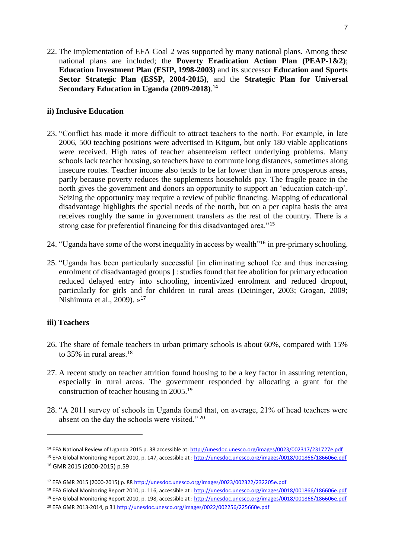22. The implementation of EFA Goal 2 was supported by many national plans. Among these national plans are included; the **Poverty Eradication Action Plan (PEAP-1&2)**; **Education Investment Plan (ESIP, 1998-2003)** and its successor **Education and Sports Sector Strategic Plan (ESSP, 2004-2015)**, and the **Strategic Plan for Universal Secondary Education in Uganda (2009-2018)**. 14

### **ii) Inclusive Education**

- 23. "Conflict has made it more difficult to attract teachers to the north. For example, in late 2006, 500 teaching positions were advertised in Kitgum, but only 180 viable applications were received. High rates of teacher absenteeism reflect underlying problems. Many schools lack teacher housing, so teachers have to commute long distances, sometimes along insecure routes. Teacher income also tends to be far lower than in more prosperous areas, partly because poverty reduces the supplements households pay. The fragile peace in the north gives the government and donors an opportunity to support an 'education catch-up'. Seizing the opportunity may require a review of public financing. Mapping of educational disadvantage highlights the special needs of the north, but on a per capita basis the area receives roughly the same in government transfers as the rest of the country. There is a strong case for preferential financing for this disadvantaged area."<sup>15</sup>
- 24. "Uganda have some of the worst inequality in access by wealth"<sup>16</sup> in pre-primary schooling.
- 25. "Uganda has been particularly successful [in eliminating school fee and thus increasing enrolment of disadvantaged groups ] : studies found that fee abolition for primary education reduced delayed entry into schooling, incentivized enrolment and reduced dropout, particularly for girls and for children in rural areas (Deininger, 2003; Grogan, 2009; Nishimura et al., 2009). »<sup>17</sup>

# **iii) Teachers**

 $\overline{a}$ 

- 26. The share of female teachers in urban primary schools is about 60%, compared with 15% to 35% in rural areas.<sup>18</sup>
- 27. A recent study on teacher attrition found housing to be a key factor in assuring retention, especially in rural areas. The government responded by allocating a grant for the construction of teacher housing in 2005.<sup>19</sup>
- 28. "A 2011 survey of schools in Uganda found that, on average, 21% of head teachers were absent on the day the schools were visited." <sup>20</sup>

<sup>19</sup> EFA Global Monitoring Report 2010, p. 198, accessible at :<http://unesdoc.unesco.org/images/0018/001866/186606e.pdf>

<sup>14</sup> EFA National Review of Uganda 2015 p. 38 accessible at:<http://unesdoc.unesco.org/images/0023/002317/231727e.pdf>

<sup>&</sup>lt;sup>15</sup> EFA Global Monitoring Report 2010, p. 147, accessible at :<http://unesdoc.unesco.org/images/0018/001866/186606e.pdf> <sup>16</sup> GMR 2015 (2000-2015) p.59

<sup>17</sup> EFA GMR 2015 (2000-2015) p. 8[8 http://unesdoc.unesco.org/images/0023/002322/232205e.pdf](http://unesdoc.unesco.org/images/0023/002322/232205e.pdf)

<sup>&</sup>lt;sup>18</sup> EFA Global Monitoring Report 2010, p. 116, accessible at :<http://unesdoc.unesco.org/images/0018/001866/186606e.pdf>

<sup>20</sup> EFA GMR 2013-2014, p 3[1 http://unesdoc.unesco.org/images/0022/002256/225660e.pdf](http://unesdoc.unesco.org/images/0022/002256/225660e.pdf)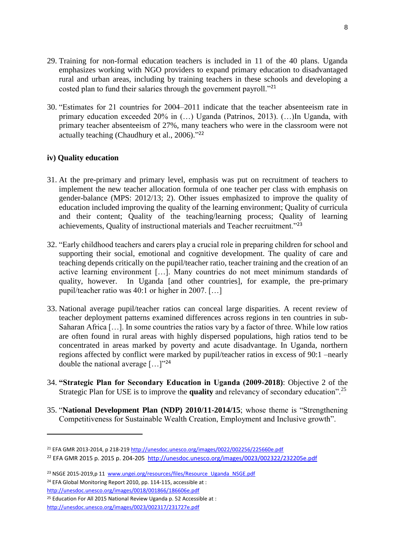- 29. Training for non-formal education teachers is included in 11 of the 40 plans. Uganda emphasizes working with NGO providers to expand primary education to disadvantaged rural and urban areas, including by training teachers in these schools and developing a costed plan to fund their salaries through the government payroll."<sup>21</sup>
- 30. "Estimates for 21 countries for 2004–2011 indicate that the teacher absenteeism rate in primary education exceeded 20% in (…) Uganda (Patrinos, 2013). (…)In Uganda, with primary teacher absenteeism of 27%, many teachers who were in the classroom were not actually teaching (Chaudhury et al., 2006)." 22

### **iv) Quality education**

- 31. At the pre-primary and primary level, emphasis was put on recruitment of teachers to implement the new teacher allocation formula of one teacher per class with emphasis on gender-balance (MPS: 2012/13; 2). Other issues emphasized to improve the quality of education included improving the quality of the learning environment; Quality of curricula and their content; Quality of the teaching/learning process; Quality of learning achievements, Quality of instructional materials and Teacher recruitment."<sup>23</sup>
- 32. "Early childhood teachers and carers play a crucial role in preparing children for school and supporting their social, emotional and cognitive development. The quality of care and teaching depends critically on the pupil/teacher ratio, teacher training and the creation of an active learning environment […]. Many countries do not meet minimum standards of quality, however. In Uganda [and other countries], for example, the pre-primary pupil/teacher ratio was 40:1 or higher in 2007. […]
- 33. National average pupil/teacher ratios can conceal large disparities. A recent review of teacher deployment patterns examined differences across regions in ten countries in sub-Saharan Africa […]. In some countries the ratios vary by a factor of three. While low ratios are often found in rural areas with highly dispersed populations, high ratios tend to be concentrated in areas marked by poverty and acute disadvantage. In Uganda, northern regions affected by conflict were marked by pupil/teacher ratios in excess of 90:1 –nearly double the national average  $[\dots]^{324}$
- 34. **"Strategic Plan for Secondary Education in Uganda (2009-2018)**: Objective 2 of the Strategic Plan for USE is to improve the **quality** and relevancy of secondary education".<sup>25</sup>
- 35. "**National Development Plan (NDP) 2010/11-2014/15**; whose theme is "Strengthening Competitiveness for Sustainable Wealth Creation, Employment and Inclusive growth".

<http://unesdoc.unesco.org/images/0018/001866/186606e.pdf>

<sup>21</sup> EFA GMR 2013-2014, p 218-21[9 http://unesdoc.unesco.org/images/0022/002256/225660e.pdf](http://unesdoc.unesco.org/images/0022/002256/225660e.pdf)

<sup>22</sup> EFA GMR 2015 p. 2015 p. 204-205 <http://unesdoc.unesco.org/images/0023/002322/232205e.pdf>

<sup>&</sup>lt;sup>23</sup> NSGE 2015-2019,p 11 [www.ungei.org/resources/files/Resource\\_Uganda\\_NSGE.pdf](http://www.ungei.org/resources/files/Resource_Uganda_NSGE.pdf)

<sup>24</sup> EFA Global Monitoring Report 2010, pp. 114-115, accessible at :

<sup>25</sup> Education For All 2015 National Review Uganda p. 52 Accessible at : <http://unesdoc.unesco.org/images/0023/002317/231727e.pdf>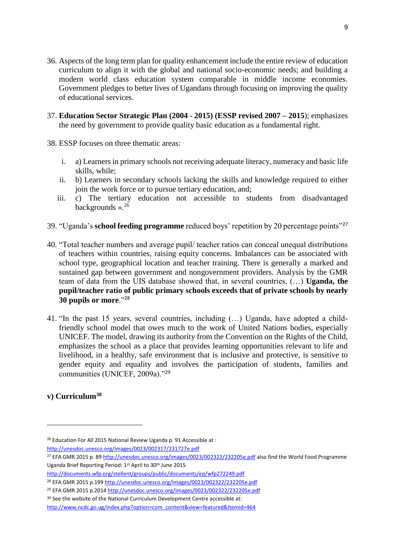- 36. Aspects of the long term plan for quality enhancement include the entire review of education curriculum to align it with the global and national socio-economic needs; and building a modern world class education system comparable in middle income economies. Government pledges to better lives of Ugandans through focusing on improving the quality of educational services.
- 37. **Education Sector Strategic Plan (2004 - 2015) (ESSP revised 2007 – 2015**); emphasizes the need by government to provide quality basic education as a fundamental right.
- 38. ESSP focuses on three thematic areas:
	- i. a) Learners in primary schools not receiving adequate literacy, numeracy and basic life skills, while;
	- ii. b) Learners in secondary schools lacking the skills and knowledge required to either join the work force or to pursue tertiary education, and;
	- iii. c) The tertiary education not accessible to students from disadvantaged backgrounds  $\frac{1}{26}$
- 39. "Uganda's **school feeding programme** reduced boys' repetition by 20 percentage points"<sup>27</sup>
- 40. "Total teacher numbers and average pupil/ teacher ratios can conceal unequal distributions of teachers within countries, raising equity concerns. Imbalances can be associated with school type, geographical location and teacher training. There is generally a marked and sustained gap between government and nongovernment providers. Analysis by the GMR team of data from the UIS database showed that, in several countries, (…) **Uganda, the pupil/teacher ratio of public primary schools exceeds that of private schools by nearly 30 pupils or more**."<sup>28</sup>
- 41. "In the past 15 years, several countries, including (…) Uganda, have adopted a childfriendly school model that owes much to the work of United Nations bodies, especially UNICEF. The model, drawing its authority from the Convention on the Rights of the Child, emphasizes the school as a place that provides learning opportunities relevant to life and livelihood, in a healthy, safe environment that is inclusive and protective, is sensitive to gender equity and equality and involves the participation of students, families and communities (UNICEF, 2009a)."<sup>29</sup>

# **v) Curriculum<sup>30</sup>**

 $\overline{a}$ 

<http://unesdoc.unesco.org/images/0023/002317/231727e.pdf>

<sup>26</sup> Education For All 2015 National Review Uganda p. 91 Accessible at :

<sup>27</sup> EFA GMR 2015 p. 8[9 http://unesdoc.unesco.org/images/0023/002322/232205e.pdf](http://unesdoc.unesco.org/images/0023/002322/232205e.pdf) also find the World Food Programme Uganda Brief Reporting Period: 1st April to 30th June 2015

<http://documents.wfp.org/stellent/groups/public/documents/ep/wfp272249.pdf>

<sup>28</sup> EFA GMR 2015 p.199<http://unesdoc.unesco.org/images/0023/002322/232205e.pdf>

<sup>29</sup> EFA GMR 2015 p.201[4 http://unesdoc.unesco.org/images/0023/002322/232205e.pdf](http://unesdoc.unesco.org/images/0023/002322/232205e.pdf)

<sup>&</sup>lt;sup>30</sup> See the website of the National Curriculum Development Centre accessible at:

[http://www.ncdc.go.ug/index.php?option=com\\_content&view=featured&Itemid=464](http://www.ncdc.go.ug/index.php?option=com_content&view=featured&Itemid=464)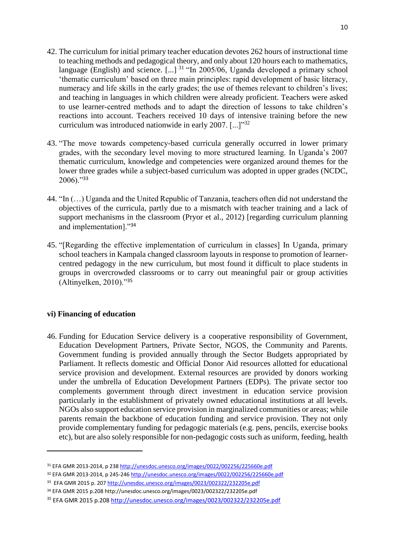- 42. The curriculum for initial primary teacher education devotes 262 hours of instructional time to teaching methods and pedagogical theory, and only about 120 hours each to mathematics, language (English) and science. [...] <sup>31</sup> "In 2005/06, Uganda developed a primary school 'thematic curriculum' based on three main principles: rapid development of basic literacy, numeracy and life skills in the early grades; the use of themes relevant to children's lives; and teaching in languages in which children were already proficient. Teachers were asked to use learner-centred methods and to adapt the direction of lessons to take children's reactions into account. Teachers received 10 days of intensive training before the new curriculum was introduced nationwide in early 2007. [...]"<sup>32</sup>
- 43. "The move towards competency-based curricula generally occurred in lower primary grades, with the secondary level moving to more structured learning. In Uganda's 2007 thematic curriculum, knowledge and competencies were organized around themes for the lower three grades while a subject-based curriculum was adopted in upper grades (NCDC, 2006)."<sup>33</sup>
- 44. "In (…) Uganda and the United Republic of Tanzania, teachers often did not understand the objectives of the curricula, partly due to a mismatch with teacher training and a lack of support mechanisms in the classroom (Pryor et al., 2012) [regarding curriculum planning and implementation]."<sup>34</sup>
- 45. "[Regarding the effective implementation of curriculum in classes] In Uganda, primary school teachers in Kampala changed classroom layouts in response to promotion of learnercentred pedagogy in the new curriculum, but most found it difficult to place students in groups in overcrowded classrooms or to carry out meaningful pair or group activities (Altinyelken, 2010)."<sup>35</sup>

# **vi) Financing of education**

 $\overline{\phantom{a}}$ 

46. Funding for Education Service delivery is a cooperative responsibility of Government, Education Development Partners, Private Sector, NGOS, the Community and Parents. Government funding is provided annually through the Sector Budgets appropriated by Parliament. It reflects domestic and Official Donor Aid resources allotted for educational service provision and development. External resources are provided by donors working under the umbrella of Education Development Partners (EDPs). The private sector too complements government through direct investment in education service provision particularly in the establishment of privately owned educational institutions at all levels. NGOs also support education service provision in marginalized communities or areas; while parents remain the backbone of education funding and service provision. They not only provide complementary funding for pedagogic materials (e.g. pens, pencils, exercise books etc), but are also solely responsible for non-pedagogic costs such as uniform, feeding, health

<sup>31</sup> EFA GMR 2013-2014, p 238<http://unesdoc.unesco.org/images/0022/002256/225660e.pdf>

<sup>32</sup> EFA GMR 2013-2014, p 245-24[6 http://unesdoc.unesco.org/images/0022/002256/225660e.pdf](http://unesdoc.unesco.org/images/0022/002256/225660e.pdf)

<sup>&</sup>lt;sup>33</sup> EFA GMR 2015 p. 207<http://unesdoc.unesco.org/images/0023/002322/232205e.pdf>

<sup>34</sup> EFA GMR 2015 p.208 http://unesdoc.unesco.org/images/0023/002322/232205e.pdf

<sup>35</sup> EFA GMR 2015 p.20[8 http://unesdoc.unesco.org/images/0023/002322/232205e.pdf](http://unesdoc.unesco.org/images/0023/002322/232205e.pdf)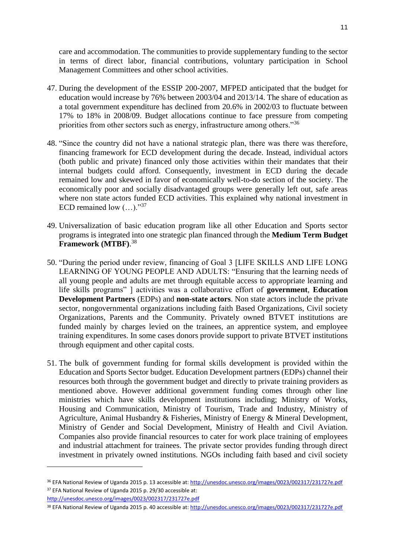care and accommodation. The communities to provide supplementary funding to the sector in terms of direct labor, financial contributions, voluntary participation in School Management Committees and other school activities.

- 47. During the development of the ESSIP 200-2007, MFPED anticipated that the budget for education would increase by 76% between 2003/04 and 2013/14. The share of education as a total government expenditure has declined from 20.6% in 2002/03 to fluctuate between 17% to 18% in 2008/09. Budget allocations continue to face pressure from competing priorities from other sectors such as energy, infrastructure among others.<sup>356</sup>
- 48. "Since the country did not have a national strategic plan, there was there was therefore, financing framework for ECD development during the decade. Instead, individual actors (both public and private) financed only those activities within their mandates that their internal budgets could afford. Consequently, investment in ECD during the decade remained low and skewed in favor of economically well-to-do section of the society. The economically poor and socially disadvantaged groups were generally left out, safe areas where non state actors funded ECD activities. This explained why national investment in ECD remained low  $(...).$ <sup>"37</sup>
- 49. Universalization of basic education program like all other Education and Sports sector programs is integrated into one strategic plan financed through the **Medium Term Budget Framework (MTBF)**. 38
- 50. "During the period under review, financing of Goal 3 [LIFE SKILLS AND LIFE LONG LEARNING OF YOUNG PEOPLE AND ADULTS: "Ensuring that the learning needs of all young people and adults are met through equitable access to appropriate learning and life skills programs" ] activities was a collaborative effort of **government**, **Education Development Partners** (EDPs) and **non-state actors**. Non state actors include the private sector, nongovernmental organizations including faith Based Organizations, Civil society Organizations, Parents and the Community. Privately owned BTVET institutions are funded mainly by charges levied on the trainees, an apprentice system, and employee training expenditures. In some cases donors provide support to private BTVET institutions through equipment and other capital costs.
- 51. The bulk of government funding for formal skills development is provided within the Education and Sports Sector budget. Education Development partners (EDPs) channel their resources both through the government budget and directly to private training providers as mentioned above. However additional government funding comes through other line ministries which have skills development institutions including; Ministry of Works, Housing and Communication, Ministry of Tourism, Trade and Industry, Ministry of Agriculture, Animal Husbandry & Fisheries, Ministry of Energy & Mineral Development, Ministry of Gender and Social Development, Ministry of Health and Civil Aviation. Companies also provide financial resources to cater for work place training of employees and industrial attachment for trainees. The private sector provides funding through direct investment in privately owned institutions. NGOs including faith based and civil society

<sup>36</sup> EFA National Review of Uganda 2015 p. 13 accessible at:<http://unesdoc.unesco.org/images/0023/002317/231727e.pdf> <sup>37</sup> EFA National Review of Uganda 2015 p. 29/30 accessible at:

<http://unesdoc.unesco.org/images/0023/002317/231727e.pdf>

<sup>38</sup> EFA National Review of Uganda 2015 p. 40 accessible at:<http://unesdoc.unesco.org/images/0023/002317/231727e.pdf>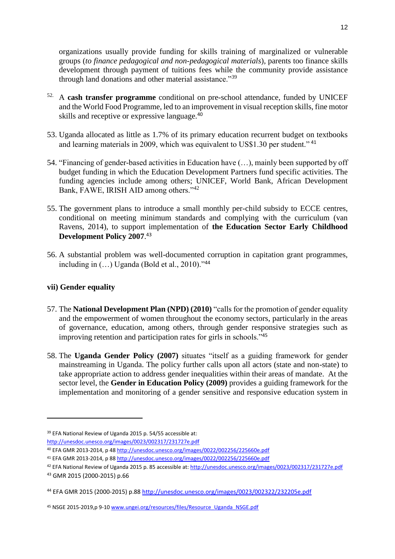organizations usually provide funding for skills training of marginalized or vulnerable groups (*to finance pedagogical and non-pedagogical materials*), parents too finance skills development through payment of tuitions fees while the community provide assistance through land donations and other material assistance."<sup>39</sup>

- 52. A **cash transfer programme** conditional on pre-school attendance, funded by UNICEF and the World Food Programme, led to an improvement in visual reception skills, fine motor skills and receptive or expressive language.<sup>40</sup>
- 53. Uganda allocated as little as 1.7% of its primary education recurrent budget on textbooks and learning materials in 2009, which was equivalent to US\$1.30 per student." <sup>41</sup>
- 54. "Financing of gender-based activities in Education have (…), mainly been supported by off budget funding in which the Education Development Partners fund specific activities. The funding agencies include among others; UNICEF, World Bank, African Development Bank, FAWE, IRISH AID among others."<sup>42</sup>
- 55. The government plans to introduce a small monthly per-child subsidy to ECCE centres, conditional on meeting minimum standards and complying with the curriculum (van Ravens, 2014), to support implementation of **the Education Sector Early Childhood Development Policy 2007**. 43
- 56. A substantial problem was well-documented corruption in capitation grant programmes, including in (…) Uganda (Bold et al., 2010)."<sup>44</sup>

# **vii) Gender equality**

- 57. The **National Development Plan (NPD) (2010)** "calls for the promotion of gender equality and the empowerment of women throughout the economy sectors, particularly in the areas of governance, education, among others, through gender responsive strategies such as improving retention and participation rates for girls in schools."<sup>45</sup>
- 58. The **Uganda Gender Policy (2007)** situates "itself as a guiding framework for gender mainstreaming in Uganda. The policy further calls upon all actors (state and non-state) to take appropriate action to address gender inequalities within their areas of mandate. At the sector level, the **Gender in Education Policy (2009)** provides a guiding framework for the implementation and monitoring of a gender sensitive and responsive education system in

<sup>39</sup> EFA National Review of Uganda 2015 p. 54/55 accessible at:

<http://unesdoc.unesco.org/images/0023/002317/231727e.pdf>

<sup>40</sup> EFA GMR 2013-2014, p 4[8 http://unesdoc.unesco.org/images/0022/002256/225660e.pdf](http://unesdoc.unesco.org/images/0022/002256/225660e.pdf)

<sup>41</sup> EFA GMR 2013-2014, p 8[8 http://unesdoc.unesco.org/images/0022/002256/225660e.pdf](http://unesdoc.unesco.org/images/0022/002256/225660e.pdf)

<sup>42</sup> EFA National Review of Uganda 2015 p. 85 accessible at:<http://unesdoc.unesco.org/images/0023/002317/231727e.pdf>

<sup>43</sup> GMR 2015 (2000-2015) p.66

<sup>44</sup> EFA GMR 2015 (2000-2015) p.8[8 http://unesdoc.unesco.org/images/0023/002322/232205e.pdf](http://unesdoc.unesco.org/images/0023/002322/232205e.pdf)

<sup>45</sup> NSGE 2015-2019,p 9-10 [www.ungei.org/resources/files/Resource\\_Uganda\\_NSGE.pdf](http://www.ungei.org/resources/files/Resource_Uganda_NSGE.pdf)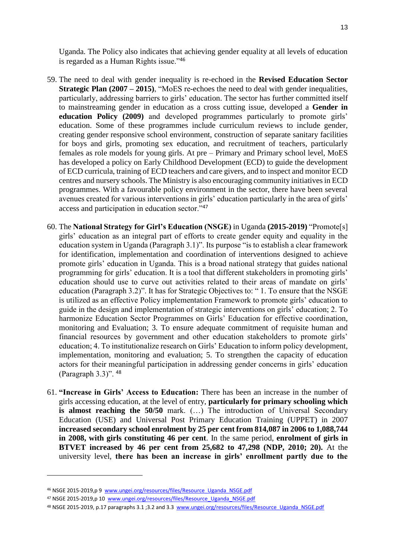Uganda. The Policy also indicates that achieving gender equality at all levels of education is regarded as a Human Rights issue."<sup>46</sup>

- 59. The need to deal with gender inequality is re-echoed in the **Revised Education Sector Strategic Plan (2007 – 2015)**, "MoES re-echoes the need to deal with gender inequalities, particularly, addressing barriers to girls' education. The sector has further committed itself to mainstreaming gender in education as a cross cutting issue, developed a **Gender in education Policy (2009)** and developed programmes particularly to promote girls' education. Some of these programmes include curriculum reviews to include gender, creating gender responsive school environment, construction of separate sanitary facilities for boys and girls, promoting sex education, and recruitment of teachers, particularly females as role models for young girls. At pre – Primary and Primary school level, MoES has developed a policy on Early Childhood Development (ECD) to guide the development of ECD curricula, training of ECD teachers and care givers, and to inspect and monitor ECD centres and nursery schools. The Ministry is also encouraging community initiatives in ECD programmes. With a favourable policy environment in the sector, there have been several avenues created for various interventions in girls' education particularly in the area of girls' access and participation in education sector."<sup>47</sup>
- 60. The **National Strategy for Girl's Education (NSGE)** in Uganda **(2015-2019)** "Promote[s] girls' education as an integral part of efforts to create gender equity and equality in the education system in Uganda (Paragraph 3.1)". Its purpose "is to establish a clear framework for identification, implementation and coordination of interventions designed to achieve promote girls' education in Uganda. This is a broad national strategy that guides national programming for girls' education. It is a tool that different stakeholders in promoting girls' education should use to curve out activities related to their areas of mandate on girls' education (Paragraph 3.2)". It has for Strategic Objectives to: " 1. To ensure that the NSGE is utilized as an effective Policy implementation Framework to promote girls' education to guide in the design and implementation of strategic interventions on girls' education; 2. To harmonize Education Sector Programmes on Girls' Education for effective coordination, monitoring and Evaluation; 3. To ensure adequate commitment of requisite human and financial resources by government and other education stakeholders to promote girls' education; 4. To institutionalize research on Girls' Education to inform policy development, implementation, monitoring and evaluation; 5. To strengthen the capacity of education actors for their meaningful participation in addressing gender concerns in girls' education (Paragraph 3.3)". <sup>48</sup>
- 61. **"Increase in Girls' Access to Education:** There has been an increase in the number of girls accessing education, at the level of entry, **particularly for primary schooling which is almost reaching the 50/50** mark. (...) The introduction of Universal Secondary Education (USE) and Universal Post Primary Education Training (UPPET) in 2007 **increased secondary school enrolment by 25 per cent from 814,087 in 2006 to 1,088,744 in 2008, with girls constituting 46 per cent**. In the same period, **enrolment of girls in BTVET increased by 46 per cent from 25,682 to 47,298 (NDP, 2010; 20).** At the university level, **there has been an increase in girls' enrollment partly due to the**

 $\overline{\phantom{a}}$ 

<sup>46</sup> NSGE 2015-2019,p 9 [www.ungei.org/resources/files/Resource\\_Uganda\\_NSGE.pdf](http://www.ungei.org/resources/files/Resource_Uganda_NSGE.pdf)

<sup>47</sup> NSGE 2015-2019,p 10 [www.ungei.org/resources/files/Resource\\_Uganda\\_NSGE.pdf](http://www.ungei.org/resources/files/Resource_Uganda_NSGE.pdf)

<sup>48</sup> NSGE 2015-2019, p.17 paragraphs 3.1 ;3.2 and 3.3 [www.ungei.org/resources/files/Resource\\_Uganda\\_NSGE.pdf](http://www.ungei.org/resources/files/Resource_Uganda_NSGE.pdf)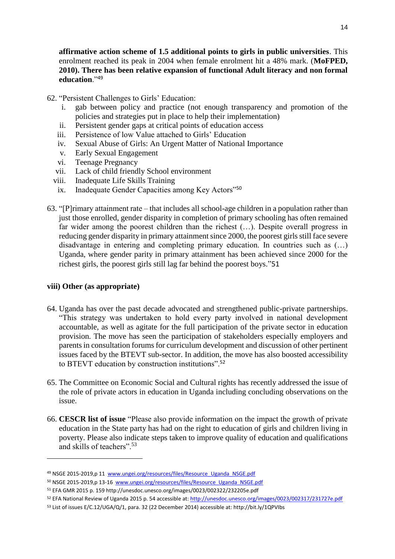**affirmative action scheme of 1.5 additional points to girls in public universities**. This enrolment reached its peak in 2004 when female enrolment hit a 48% mark. (**MoFPED, 2010). There has been relative expansion of functional Adult literacy and non formal education**."<sup>49</sup>

- 62. "Persistent Challenges to Girls' Education:
	- i. gab between policy and practice (not enough transparency and promotion of the policies and strategies put in place to help their implementation)
	- ii. Persistent gender gaps at critical points of education access
	- iii. Persistence of low Value attached to Girls' Education
	- iv. Sexual Abuse of Girls: An Urgent Matter of National Importance
	- v. Early Sexual Engagement
	- vi. Teenage Pregnancy
	- vii. Lack of child friendly School environment
	- viii. Inadequate Life Skills Training
	- ix. Inadequate Gender Capacities among Key Actors"<sup>50</sup>
- 63. "[P]rimary attainment rate that includes all school-age children in a population rather than just those enrolled, gender disparity in completion of primary schooling has often remained far wider among the poorest children than the richest (…). Despite overall progress in reducing gender disparity in primary attainment since 2000, the poorest girls still face severe disadvantage in entering and completing primary education. In countries such as (…) Uganda, where gender parity in primary attainment has been achieved since 2000 for the richest girls, the poorest girls still lag far behind the poorest boys."51

### **viii) Other (as appropriate)**

- 64. Uganda has over the past decade advocated and strengthened public-private partnerships. "This strategy was undertaken to hold every party involved in national development accountable, as well as agitate for the full participation of the private sector in education provision. The move has seen the participation of stakeholders especially employers and parents in consultation forums for curriculum development and discussion of other pertinent issues faced by the BTEVT sub-sector. In addition, the move has also boosted accessibility to BTEVT education by construction institutions".<sup>52</sup>
- 65. The Committee on Economic Social and Cultural rights has recently addressed the issue of the role of private actors in education in Uganda including concluding observations on the issue.
- 66. **CESCR list of issue** "Please also provide information on the impact the growth of private education in the State party has had on the right to education of girls and children living in poverty. Please also indicate steps taken to improve quality of education and qualifications and skills of teachers".<sup>53</sup>

<sup>49</sup> NSGE 2015-2019,p 11 [www.ungei.org/resources/files/Resource\\_Uganda\\_NSGE.pdf](http://www.ungei.org/resources/files/Resource_Uganda_NSGE.pdf)

<sup>50</sup> NSGE 2015-2019, p 13-16 [www.ungei.org/resources/files/Resource\\_Uganda\\_NSGE.pdf](http://www.ungei.org/resources/files/Resource_Uganda_NSGE.pdf)

<sup>51</sup> EFA GMR 2015 p. 159 http://unesdoc.unesco.org/images/0023/002322/232205e.pdf

<sup>52</sup> EFA National Review of Uganda 2015 p. 54 accessible at:<http://unesdoc.unesco.org/images/0023/002317/231727e.pdf>

<sup>53</sup> List of issues E/C.12/UGA/Q/1, para. 32 (22 December 2014) accessible at: http://bit.ly/1QPVIbs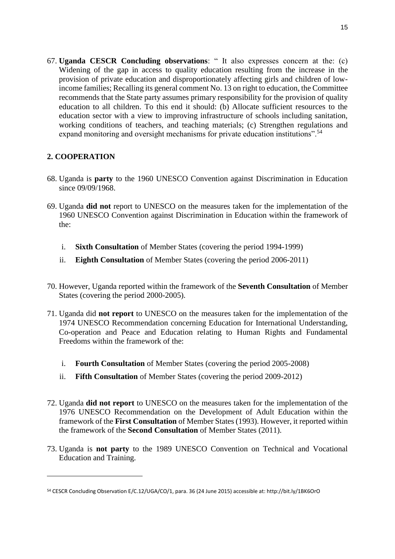67. **Uganda CESCR Concluding observations**: " It also expresses concern at the: (c) Widening of the gap in access to quality education resulting from the increase in the provision of private education and disproportionately affecting girls and children of lowincome families; Recalling its general comment No. 13 on right to education, the Committee recommends that the State party assumes primary responsibility for the provision of quality education to all children. To this end it should: (b) Allocate sufficient resources to the education sector with a view to improving infrastructure of schools including sanitation, working conditions of teachers, and teaching materials; (c) Strengthen regulations and expand monitoring and oversight mechanisms for private education institutions".<sup>54</sup>

# **2. COOPERATION**

 $\overline{\phantom{a}}$ 

- 68. Uganda is **party** to the 1960 UNESCO Convention against Discrimination in Education since 09/09/1968.
- 69. Uganda **did not** report to UNESCO on the measures taken for the implementation of the 1960 UNESCO Convention against Discrimination in Education within the framework of the:
	- i. **Sixth Consultation** of Member States (covering the period 1994-1999)
	- ii. **Eighth Consultation** of Member States (covering the period 2006-2011)
- 70. However, Uganda reported within the framework of the **Seventh Consultation** of Member States (covering the period 2000-2005).
- 71. Uganda did **not report** to UNESCO on the measures taken for the implementation of the 1974 UNESCO Recommendation concerning Education for International Understanding, Co-operation and Peace and Education relating to Human Rights and Fundamental Freedoms within the framework of the:
	- i. **Fourth Consultation** of Member States (covering the period 2005-2008)
	- ii. **Fifth Consultation** of Member States (covering the period 2009-2012)
- 72. Uganda **did not report** to UNESCO on the measures taken for the implementation of the 1976 UNESCO Recommendation on the Development of Adult Education within the framework of the **First Consultation** of Member States (1993). However, it reported within the framework of the **Second Consultation** of Member States (2011).
- 73. Uganda is **not party** to the 1989 UNESCO Convention on Technical and Vocational Education and Training.

<sup>54</sup> CESCR Concluding Observation E/C.12/UGA/CO/1, para. 36 (24 June 2015) accessible at: http://bit.ly/1BK6OrO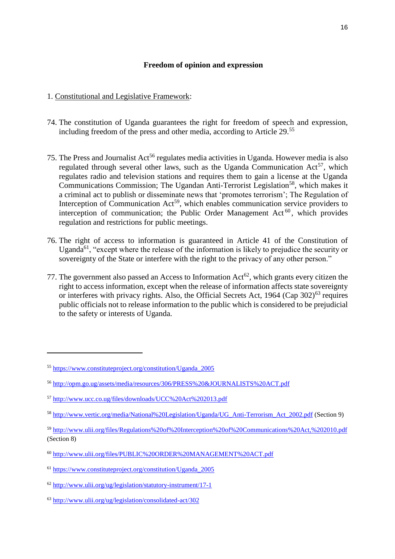### **Freedom of opinion and expression**

### 1. Constitutional and Legislative Framework:

- 74. The constitution of Uganda guarantees the right for freedom of speech and expression, including freedom of the press and other media, according to Article 29.<sup>55</sup>
- 75. The Press and Journalist Act<sup>56</sup> regulates media activities in Uganda. However media is also regulated through several other laws, such as the Uganda Communication  $Act^{57}$ , which regulates radio and television stations and requires them to gain a license at the Uganda Communications Commission; The Ugandan Anti-Terrorist Legislation<sup>58</sup>, which makes it a criminal act to publish or disseminate news that 'promotes terrorism'; The Regulation of Interception of Communication Act<sup>59</sup>, which enables communication service providers to interception of communication; the Public Order Management Act<sup>60</sup>, which provides regulation and restrictions for public meetings.
- 76. The right of access to information is guaranteed in Article 41 of the Constitution of Uganda $61$ , "except where the release of the information is likely to prejudice the security or sovereignty of the State or interfere with the right to the privacy of any other person."
- 77. The government also passed an Access to Information  $Act^{62}$ , which grants every citizen the right to access information, except when the release of information affects state sovereignty or interferes with privacy rights. Also, the Official Secrets Act,  $1964$  (Cap  $302$ )<sup>63</sup> requires public officials not to release information to the public which is considered to be prejudicial to the safety or interests of Uganda.

<sup>55</sup> [https://www.constituteproject.org/constitution/Uganda\\_2005](https://www.constituteproject.org/constitution/Uganda_2005)

<sup>56</sup> <http://opm.go.ug/assets/media/resources/306/PRESS%20&JOURNALISTS%20ACT.pdf>

<sup>57</sup> <http://www.ucc.co.ug/files/downloads/UCC%20Act%202013.pdf>

<sup>58</sup> [http://www.vertic.org/media/National%20Legislation/Uganda/UG\\_Anti-Terrorism\\_Act\\_2002.pdf](http://www.vertic.org/media/National%20Legislation/Uganda/UG_Anti-Terrorism_Act_2002.pdf) (Section 9)

<sup>59</sup> <http://www.ulii.org/files/Regulations%20of%20Interception%20of%20Communications%20Act,%202010.pdf> (Section 8)

<sup>60</sup> <http://www.ulii.org/files/PUBLIC%20ORDER%20MANAGEMENT%20ACT.pdf>

<sup>61</sup> [https://www.constituteproject.org/constitution/Uganda\\_2005](https://www.constituteproject.org/constitution/Uganda_2005)

<sup>62</sup> <http://www.ulii.org/ug/legislation/statutory-instrument/17-1>

<sup>63</sup> <http://www.ulii.org/ug/legislation/consolidated-act/302>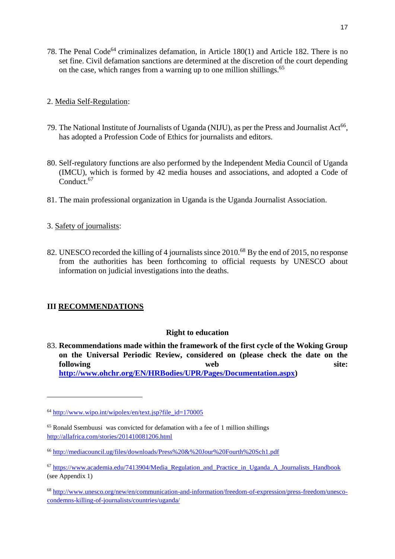- 78. The Penal Code<sup>64</sup> criminalizes defamation, in Article 180(1) and Article 182. There is no set fine. Civil defamation sanctions are determined at the discretion of the court depending on the case, which ranges from a warning up to one million shillings.<sup>65</sup>
- 2. Media Self-Regulation:
- 79. The National Institute of Journalists of Uganda (NIJU), as per the Press and Journalist Act<sup>66</sup>, has adopted a Profession Code of Ethics for journalists and editors.
- 80. Self-regulatory functions are also performed by the Independent Media Council of Uganda (IMCU), which is formed by 42 media houses and associations, and adopted a Code of Conduct.<sup>67</sup>
- 81. The main professional organization in Uganda is the Uganda Journalist Association.
- 3. Safety of journalists:
- 82. UNESCO recorded the killing of 4 journalists since 2010.<sup>68</sup> By the end of 2015, no response from the authorities has been forthcoming to official requests by UNESCO about information on judicial investigations into the deaths.

# **III RECOMMENDATIONS**

 $\overline{a}$ 

### **Right to education**

83. **Recommendations made within the framework of the first cycle of the Woking Group on the Universal Periodic Review, considered on (please check the date on the following** web site: **[http://www.ohchr.org/EN/HRBodies/UPR/Pages/Documentation.aspx\)](http://www.ohchr.org/EN/HRBodies/UPR/Pages/Documentation.aspx)** 

 $64$  [http://www.wipo.int/wipolex/en/text.jsp?file\\_id=170005](http://www.wipo.int/wipolex/en/text.jsp?file_id=170005)

<sup>65</sup> Ronald Ssembuusi was convicted for defamation with a fee of 1 million shillings <http://allafrica.com/stories/201410081206.html>

<sup>66</sup> <http://mediacouncil.ug/files/downloads/Press%20&%20Jour%20Fourth%20Sch1.pdf>

<sup>&</sup>lt;sup>67</sup> https://www.academia.edu/7413904/Media Regulation and Practice in Uganda A Journalists Handbook (see Appendix 1)

<sup>68</sup> [http://www.unesco.org/new/en/communication-and-information/freedom-of-expression/press-freedom/unesco](http://www.unesco.org/new/en/communication-and-information/freedom-of-expression/press-freedom/unesco-condemns-killing-of-journalists/countries/uganda/)[condemns-killing-of-journalists/countries/uganda/](http://www.unesco.org/new/en/communication-and-information/freedom-of-expression/press-freedom/unesco-condemns-killing-of-journalists/countries/uganda/)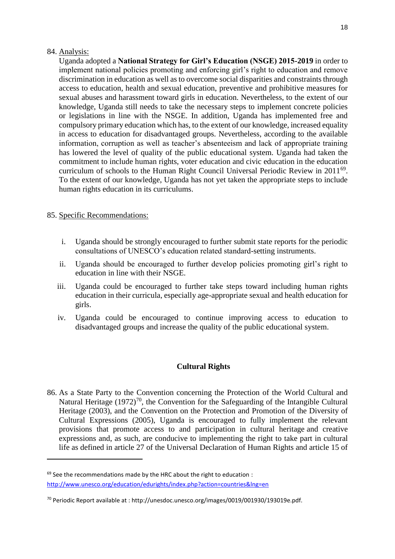#### 84. Analysis:

Uganda adopted a **National Strategy for Girl's Education (NSGE) 2015-2019** in order to implement national policies promoting and enforcing girl's right to education and remove discrimination in education as well as to overcome social disparities and constraints through access to education, health and sexual education, preventive and prohibitive measures for sexual abuses and harassment toward girls in education. Nevertheless, to the extent of our knowledge, Uganda still needs to take the necessary steps to implement concrete policies or legislations in line with the NSGE. In addition, Uganda has implemented free and compulsory primary education which has, to the extent of our knowledge, increased equality in access to education for disadvantaged groups. Nevertheless, according to the available information, corruption as well as teacher's absenteeism and lack of appropriate training has lowered the level of quality of the public educational system. Uganda had taken the commitment to include human rights, voter education and civic education in the education curriculum of schools to the Human Right Council Universal Periodic Review in  $2011^{69}$ . To the extent of our knowledge, Uganda has not yet taken the appropriate steps to include human rights education in its curriculums.

### 85. Specific Recommendations:

 $\overline{a}$ 

- i. Uganda should be strongly encouraged to further submit state reports for the periodic consultations of UNESCO's education related standard-setting instruments.
- ii. Uganda should be encouraged to further develop policies promoting girl's right to education in line with their NSGE.
- iii. Uganda could be encouraged to further take steps toward including human rights education in their curricula, especially age-appropriate sexual and health education for girls.
- iv. Uganda could be encouraged to continue improving access to education to disadvantaged groups and increase the quality of the public educational system.

# **Cultural Rights**

86. As a State Party to the Convention concerning the Protection of the World Cultural and Natural Heritage  $(1972)^{70}$ , the Convention for the Safeguarding of the Intangible Cultural Heritage (2003), and the Convention on the Protection and Promotion of the Diversity of Cultural Expressions (2005), Uganda is encouraged to fully implement the relevant provisions that promote access to and participation in cultural heritage and creative expressions and, as such, are conducive to implementing the right to take part in cultural life as defined in article 27 of the Universal Declaration of Human Rights and article 15 of

 $69$  See the recommendations made by the HRC about the right to education : <http://www.unesco.org/education/edurights/index.php?action=countries&lng=en>

<sup>70</sup> Periodic Report available at : http://unesdoc.unesco.org/images/0019/001930/193019e.pdf.